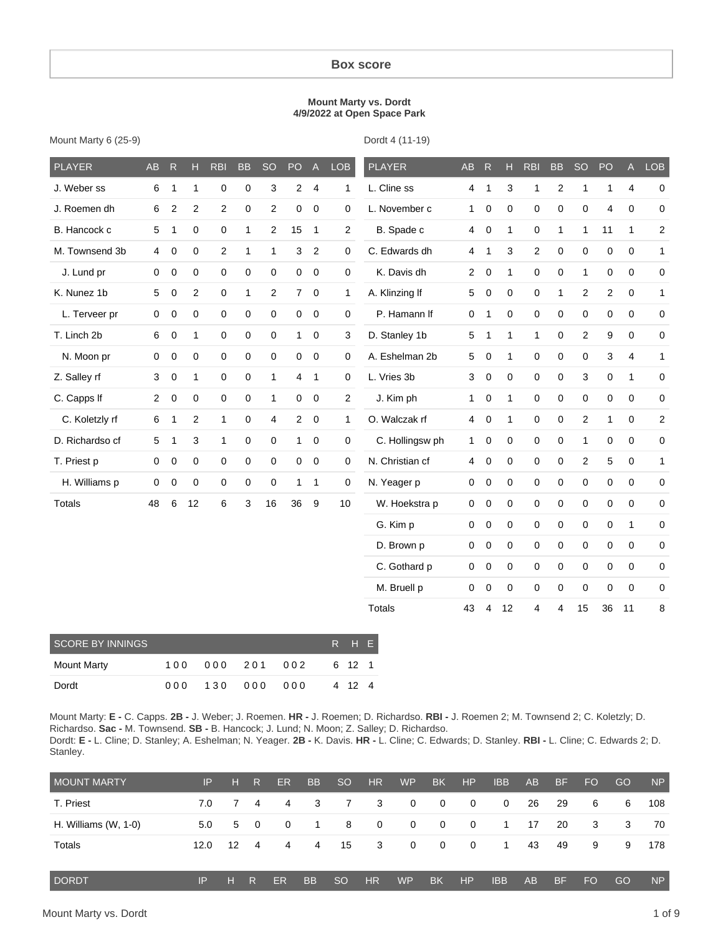#### **Box score**

#### **Mount Marty vs. Dordt 4/9/2022 at Open Space Park**

| Mount Marty 6 (25-9) |  |  |
|----------------------|--|--|
|----------------------|--|--|

Dordt 4 (11-19)

| <b>PLAYER</b>           | AB             | R                | н              | <b>RBI</b>  | <b>BB</b>    | <b>SO</b>      | PO             | $\overline{A}$   | <b>LOB</b>          | <b>PLAYER</b>   | AB             | $\overline{R}$   | Н           | <b>RBI</b>   | <b>BB</b>      | <b>SO</b>      | PO                      | $\overline{A}$ | <b>LOB</b>              |
|-------------------------|----------------|------------------|----------------|-------------|--------------|----------------|----------------|------------------|---------------------|-----------------|----------------|------------------|-------------|--------------|----------------|----------------|-------------------------|----------------|-------------------------|
| J. Weber ss             | 6              | 1                | $\mathbf{1}$   | 0           | 0            | 3              | $\overline{c}$ | $\overline{4}$   | 1                   | L. Cline ss     | $\overline{4}$ | $\mathbf{1}$     | 3           | 1            | $\overline{c}$ | $\mathbf{1}$   | 1                       | $\overline{4}$ | $\boldsymbol{0}$        |
| J. Roemen dh            | 6              | $\boldsymbol{2}$ | $\overline{2}$ | 2           | 0            | $\overline{c}$ | 0              | $\boldsymbol{0}$ | $\pmb{0}$           | L. November c   | $\mathbf{1}$   | $\boldsymbol{0}$ | 0           | 0            | 0              | 0              | $\overline{\mathbf{4}}$ | 0              | $\mathbf 0$             |
| B. Hancock c            | 5              | 1                | 0              | 0           | $\mathbf{1}$ | 2              | 15             | $\mathbf{1}$     | $\overline{2}$      | B. Spade c      | $\overline{4}$ | $\mathbf 0$      | 1           | 0            | 1              | 1              | 11                      | $\mathbf{1}$   | $\overline{\mathbf{c}}$ |
| M. Townsend 3b          | 4              | 0                | 0              | 2           | 1            | 1              | 3              | 2                | $\mathbf 0$         | C. Edwards dh   | $\overline{4}$ | 1                | 3           | 2            | $\mathbf 0$    | $\mathbf 0$    | 0                       | 0              | 1                       |
| J. Lund pr              | $\mathbf 0$    | $\mathbf 0$      | 0              | 0           | $\mathsf 0$  | $\mathbf 0$    | 0              | $\mathbf 0$      | $\mathsf{O}\xspace$ | K. Davis dh     | $\overline{2}$ | $\mathbf 0$      | 1           | 0            | $\mathbf 0$    | $\mathbf{1}$   | $\mathbf 0$             | 0              | $\boldsymbol{0}$        |
| K. Nunez 1b             | 5              | 0                | $\overline{2}$ | $\mathbf 0$ | $\mathbf{1}$ | 2              | $\overline{7}$ | $\mathbf 0$      | 1                   | A. Klinzing If  | 5              | $\mathbf 0$      | 0           | 0            | $\mathbf{1}$   | $\overline{2}$ | $\overline{2}$          | $\mathbf 0$    | $\mathbf{1}$            |
| L. Terveer pr           | $\mathbf 0$    | $\mathbf 0$      | 0              | $\mathbf 0$ | 0            | $\mathbf 0$    | 0              | $\mathbf 0$      | $\boldsymbol{0}$    | P. Hamann If    | $\mathbf 0$    | $\mathbf{1}$     | $\mathbf 0$ | 0            | $\mathbf 0$    | $\mathbf 0$    | $\mathbf 0$             | 0              | $\boldsymbol{0}$        |
| T. Linch 2b             | 6              | 0                | $\mathbf{1}$   | 0           | 0            | 0              | $\mathbf{1}$   | $\pmb{0}$        | 3                   | D. Stanley 1b   | 5              | 1                | 1           | $\mathbf{1}$ | $\pmb{0}$      | $\overline{2}$ | 9                       | 0              | $\boldsymbol{0}$        |
| N. Moon pr              | $\mathbf 0$    | 0                | 0              | $\mathbf 0$ | 0            | $\mathbf 0$    | 0              | $\mathbf 0$      | 0                   | A. Eshelman 2b  | 5              | $\mathbf 0$      | 1           | 0            | 0              | 0              | 3                       | $\overline{4}$ | $\mathbf{1}$            |
| Z. Salley rf            | 3              | $\mathbf 0$      | $\mathbf{1}$   | 0           | 0            | 1              | $\overline{4}$ | $\overline{1}$   | $\boldsymbol{0}$    | L. Vries 3b     | 3              | $\mathbf 0$      | 0           | 0            | $\mathbf 0$    | 3              | 0                       | $\mathbf{1}$   | $\boldsymbol{0}$        |
| C. Capps If             | $\overline{2}$ | $\pmb{0}$        | 0              | 0           | $\pmb{0}$    | 1              | 0              | $\pmb{0}$        | $\overline{c}$      | J. Kim ph       | $\mathbf{1}$   | $\pmb{0}$        | 1           | 0            | 0              | 0              | 0                       | 0              | $\mathsf 0$             |
| C. Koletzly rf          | 6              | 1                | $\overline{2}$ | 1           | $\mathsf 0$  | 4              | $\overline{2}$ | $\mathbf 0$      | 1                   | O. Walczak rf   | $\overline{4}$ | $\mathbf 0$      | 1           | 0            | $\mathbf 0$    | 2              | 1                       | $\mathsf 0$    | $\overline{\mathbf{c}}$ |
| D. Richardso cf         | 5              | 1                | 3              | 1           | $\mathsf 0$  | 0              | $\mathbf{1}$   | $\pmb{0}$        | $\mathsf{O}\xspace$ | C. Hollingsw ph | $\mathbf{1}$   | $\mathbf 0$      | 0           | 0            | $\pmb{0}$      | $\mathbf{1}$   | 0                       | $\mathsf 0$    | $\mathsf 0$             |
| T. Priest p             | $\mathsf 0$    | 0                | 0              | 0           | $\pmb{0}$    | $\mathbf 0$    | 0              | $\pmb{0}$        | $\mathsf{O}\xspace$ | N. Christian cf | $\overline{4}$ | $\pmb{0}$        | 0           | 0            | $\pmb{0}$      | $\overline{c}$ | 5                       | $\pmb{0}$      | 1                       |
| H. Williams p           | 0              | 0                | $\mathbf 0$    | $\mathbf 0$ | 0            | 0              | 1              | $\mathbf{1}$     | 0                   | N. Yeager p     | $\mathbf 0$    | $\mathbf 0$      | 0           | 0            | $\mathbf 0$    | $\mathbf 0$    | $\mathbf 0$             | $\mathbf 0$    | $\mathbf 0$             |
| <b>Totals</b>           | 48             | 6                | 12             | 6           | 3            | 16             | 36             | $\boldsymbol{9}$ | 10                  | W. Hoekstra p   | $\mathsf 0$    | $\mathbf 0$      | 0           | 0            | $\pmb{0}$      | $\mathbf 0$    | $\mathbf 0$             | $\mathbf 0$    | $\mathbf 0$             |
|                         |                |                  |                |             |              |                |                |                  |                     | G. Kim p        | $\pmb{0}$      | $\mathbf 0$      | 0           | 0            | $\pmb{0}$      | $\mathbf 0$    | 0                       | $\mathbf{1}$   | $\pmb{0}$               |
|                         |                |                  |                |             |              |                |                |                  |                     | D. Brown p      | $\mathbf 0$    | $\mathbf 0$      | 0           | 0            | $\mathbf 0$    | $\mathbf 0$    | $\mathbf 0$             | $\mathbf 0$    | $\mathbf 0$             |
|                         |                |                  |                |             |              |                |                |                  |                     | C. Gothard p    | $\mathsf 0$    | $\mathbf 0$      | 0           | 0            | 0              | $\mathbf 0$    | 0                       | $\mathbf 0$    | $\mathbf 0$             |
|                         |                |                  |                |             |              |                |                |                  |                     | M. Bruell p     | $\mathsf 0$    | $\mathbf 0$      | $\mathbf 0$ | 0            | $\mathbf 0$    | $\mathbf 0$    | $\mathbf 0$             | $\mathbf 0$    | 0                       |
|                         |                |                  |                |             |              |                |                |                  |                     | <b>Totals</b>   | 43             | 4                | 12          | 4            | 4              | 15             | 36                      | 11             | 8                       |
| <b>SCORE BY INNINGS</b> |                |                  |                |             |              |                |                |                  | $\mathsf{H}$<br>R   | E               |                |                  |             |              |                |                |                         |                |                         |
| <b>Mount Marty</b>      |                | 100              |                | 000         | 201          |                | 002            |                  | 12<br>6             | $\mathbf{1}$    |                |                  |             |              |                |                |                         |                |                         |

Mount Marty: **E -** C. Capps. **2B -** J. Weber; J. Roemen. **HR -** J. Roemen; D. Richardso. **RBI -** J. Roemen 2; M. Townsend 2; C. Koletzly; D. Richardso. **Sac -** M. Townsend. **SB -** B. Hancock; J. Lund; N. Moon; Z. Salley; D. Richardso. Dordt: **E -** L. Cline; D. Stanley; A. Eshelman; N. Yeager. **2B -** K. Davis. **HR -** L. Cline; C. Edwards; D. Stanley. **RBI -** L. Cline; C. Edwards 2; D. Stanley.

Dordt 0 0 0 1 3 0 0 0 0 0 0 0 4 12 4

| <b>MOUNT MARTY</b>   | IP   | н  | R.             | ER.       | <b>BB</b> | <sub>SO</sub>   | <b>HR</b>      | <b>WP</b>      | <b>BK</b>    | <b>HP</b>    | <b>IBB</b> | AB | <b>BF</b> | <b>FO</b> | GO | <b>NP</b> |
|----------------------|------|----|----------------|-----------|-----------|-----------------|----------------|----------------|--------------|--------------|------------|----|-----------|-----------|----|-----------|
| T. Priest            | 7.0  |    | 7 4            | 4         | -3        | 7               | 3              | $\overline{0}$ | $\mathbf{0}$ | $\mathbf{0}$ | 0          | 26 | -29       | 6         | 6  | 108       |
| H. Williams (W, 1-0) | 5.0  |    | $5 \quad 0$    | $\Omega$  | -1        | 8               | $\mathbf{0}$   | $\mathbf{0}$   | $\mathbf{0}$ | $\mathbf 0$  | 1          | 17 | 20        | 3         | 3  | 70        |
| Totals               | 12.0 | 12 | $\overline{4}$ | 4         | 4         | 15              | 3              | $\mathbf{0}$   | $\mathbf{0}$ | $\mathbf{0}$ | 1          | 43 | 49        | 9         | 9  | 178       |
| <b>DORDT</b>         | IP   | н  | R              | <b>ER</b> | <b>BB</b> | SO <sub>1</sub> | H <sub>R</sub> | <b>WP</b>      | <b>BK</b>    | <b>HP</b>    | <b>IBB</b> | AB | <b>BF</b> | FO        | GO | <b>NP</b> |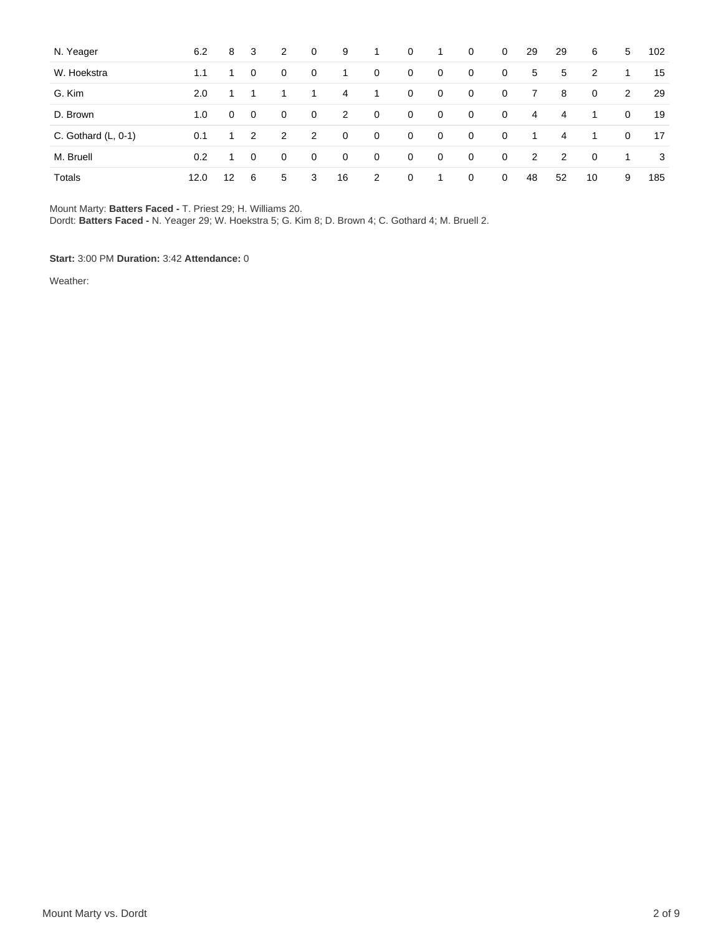| N. Yeager             | 6.2  | 8                 | -3          | 2              | $\mathbf{0}$   | 9            | $\mathbf{1}$ | $\mathbf{0}$   | 1           | $\mathbf{0}$   | $\mathbf{0}$ | 29             | 29 | 6              | 5           | 102 |
|-----------------------|------|-------------------|-------------|----------------|----------------|--------------|--------------|----------------|-------------|----------------|--------------|----------------|----|----------------|-------------|-----|
| W. Hoekstra           | 1.1  |                   | $\mathbf 0$ | 0              | $\overline{0}$ | -1           | 0            | $\mathbf{0}$   | 0           | $\mathbf 0$    | $\mathbf{0}$ | 5              | 5  | 2              | 1           | 15  |
| G. Kim                | 2.0  |                   |             |                | 1.             | 4            | 1            | $\overline{0}$ | 0           | $\overline{0}$ | $\mathbf 0$  | 7              | 8  | $\mathbf 0$    | 2           | 29  |
| D. Brown              | 1.0  | 0                 | 0           | 0              | $\mathbf 0$    | 2            | $\mathbf 0$  | 0              | 0           | $\mathbf{0}$   | $\mathbf 0$  | 4              | 4  | 1.             | 0           | 19  |
| C. Gothard $(L, 0-1)$ | 0.1  | $\mathbf{1}$      | 2           | $\overline{2}$ | 2              | $\mathbf{0}$ | $\mathbf{0}$ | $\mathbf{0}$   | 0           | $\overline{0}$ | $\mathbf 0$  | $\overline{1}$ | 4  | 1              | $\mathbf 0$ | 17  |
| M. Bruell             | 0.2  |                   | $\mathbf 0$ | 0              | $\mathbf 0$    | $\mathbf{0}$ | $\mathbf 0$  | $\mathbf{0}$   | $\mathbf 0$ | $\mathbf{0}$   | $\mathbf 0$  | 2              | 2  | $\overline{0}$ | 1           | 3   |
| Totals                | 12.0 | $12 \overline{ }$ | -6          | 5              | 3              | 16           | 2            | 0              | 1           | $\mathbf 0$    | $\mathbf 0$  | 48             | 52 | 10             | 9           | 185 |

Mount Marty: **Batters Faced -** T. Priest 29; H. Williams 20.

Dordt: **Batters Faced -** N. Yeager 29; W. Hoekstra 5; G. Kim 8; D. Brown 4; C. Gothard 4; M. Bruell 2.

**Start:** 3:00 PM **Duration:** 3:42 **Attendance:** 0

Weather: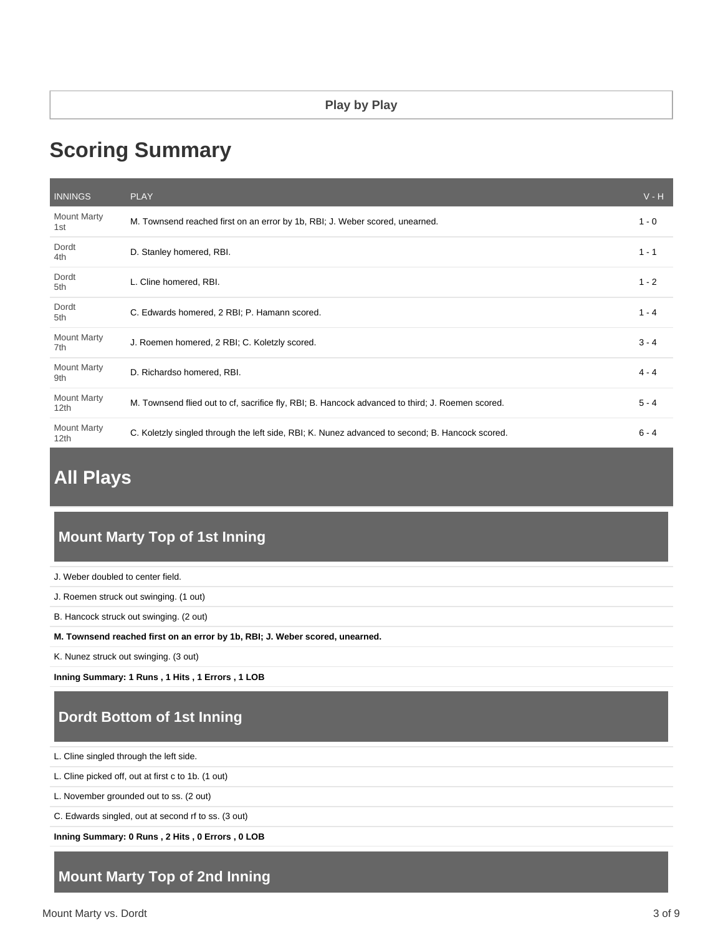# **Scoring Summary**

| <b>INNINGS</b>                         | <b>PLAY</b>                                                                                      | $V - H$ |
|----------------------------------------|--------------------------------------------------------------------------------------------------|---------|
| <b>Mount Marty</b><br>1st              | M. Townsend reached first on an error by 1b, RBI; J. Weber scored, unearned.                     | $1 - 0$ |
| Dordt<br>4th                           | D. Stanley homered, RBI.                                                                         | $1 - 1$ |
| Dordt<br>5th                           | L. Cline homered, RBI.                                                                           | $1 - 2$ |
| Dordt<br>5th                           | C. Edwards homered, 2 RBI; P. Hamann scored.                                                     | $1 - 4$ |
| <b>Mount Marty</b><br>7th              | J. Roemen homered, 2 RBI; C. Koletzly scored.                                                    | $3 - 4$ |
| <b>Mount Marty</b><br>9th              | D. Richardso homered, RBI.                                                                       | $4 - 4$ |
| <b>Mount Marty</b><br>12th             | M. Townsend flied out to cf, sacrifice fly, RBI; B. Hancock advanced to third; J. Roemen scored. | $5 - 4$ |
| <b>Mount Marty</b><br>12 <sub>th</sub> | C. Koletzly singled through the left side, RBI; K. Nunez advanced to second; B. Hancock scored.  | $6 - 4$ |

# **All Plays**

# **Mount Marty Top of 1st Inning**

J. Weber doubled to center field.

J. Roemen struck out swinging. (1 out)

B. Hancock struck out swinging. (2 out)

**M. Townsend reached first on an error by 1b, RBI; J. Weber scored, unearned.**

K. Nunez struck out swinging. (3 out)

**Inning Summary: 1 Runs , 1 Hits , 1 Errors , 1 LOB**

# **Dordt Bottom of 1st Inning**

L. Cline singled through the left side.

L. Cline picked off, out at first c to 1b. (1 out)

L. November grounded out to ss. (2 out)

C. Edwards singled, out at second rf to ss. (3 out)

**Inning Summary: 0 Runs , 2 Hits , 0 Errors , 0 LOB**

# **Mount Marty Top of 2nd Inning**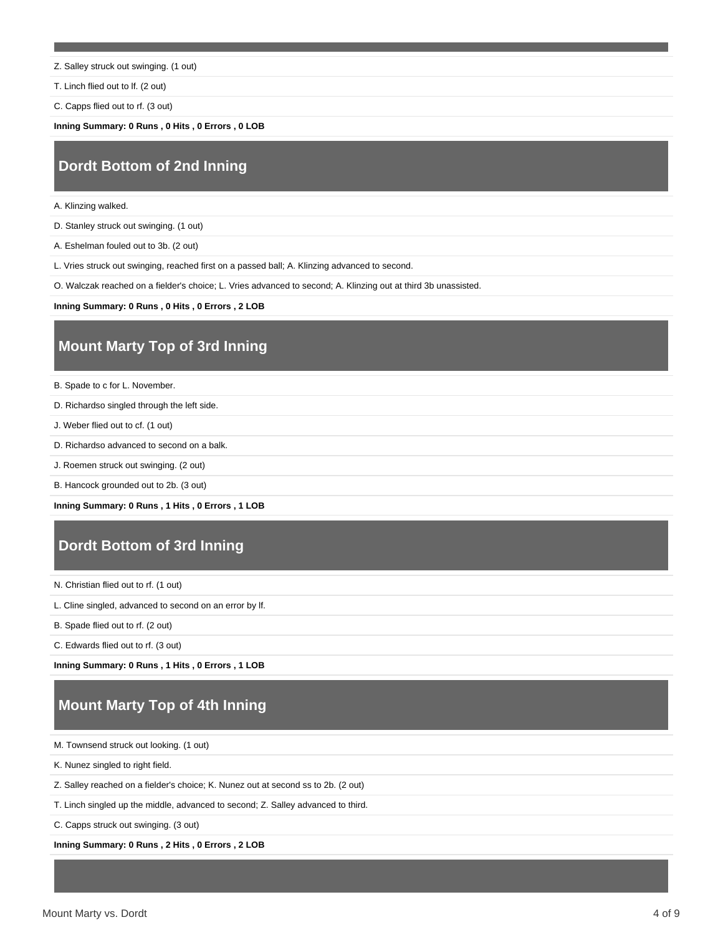- Z. Salley struck out swinging. (1 out)
- T. Linch flied out to lf. (2 out)

C. Capps flied out to rf. (3 out)

**Inning Summary: 0 Runs , 0 Hits , 0 Errors , 0 LOB**

#### **Dordt Bottom of 2nd Inning**

A. Klinzing walked.

D. Stanley struck out swinging. (1 out)

A. Eshelman fouled out to 3b. (2 out)

L. Vries struck out swinging, reached first on a passed ball; A. Klinzing advanced to second.

O. Walczak reached on a fielder's choice; L. Vries advanced to second; A. Klinzing out at third 3b unassisted.

**Inning Summary: 0 Runs , 0 Hits , 0 Errors , 2 LOB**

# **Mount Marty Top of 3rd Inning**

B. Spade to c for L. November.

- D. Richardso singled through the left side.
- J. Weber flied out to cf. (1 out)
- D. Richardso advanced to second on a balk.
- J. Roemen struck out swinging. (2 out)
- B. Hancock grounded out to 2b. (3 out)

**Inning Summary: 0 Runs , 1 Hits , 0 Errors , 1 LOB**

# **Dordt Bottom of 3rd Inning**

N. Christian flied out to rf. (1 out)

- L. Cline singled, advanced to second on an error by lf.
- B. Spade flied out to rf. (2 out)

C. Edwards flied out to rf. (3 out)

**Inning Summary: 0 Runs , 1 Hits , 0 Errors , 1 LOB**

# **Mount Marty Top of 4th Inning**

M. Townsend struck out looking. (1 out)

K. Nunez singled to right field.

Z. Salley reached on a fielder's choice; K. Nunez out at second ss to 2b. (2 out)

T. Linch singled up the middle, advanced to second; Z. Salley advanced to third.

C. Capps struck out swinging. (3 out)

**Inning Summary: 0 Runs , 2 Hits , 0 Errors , 2 LOB**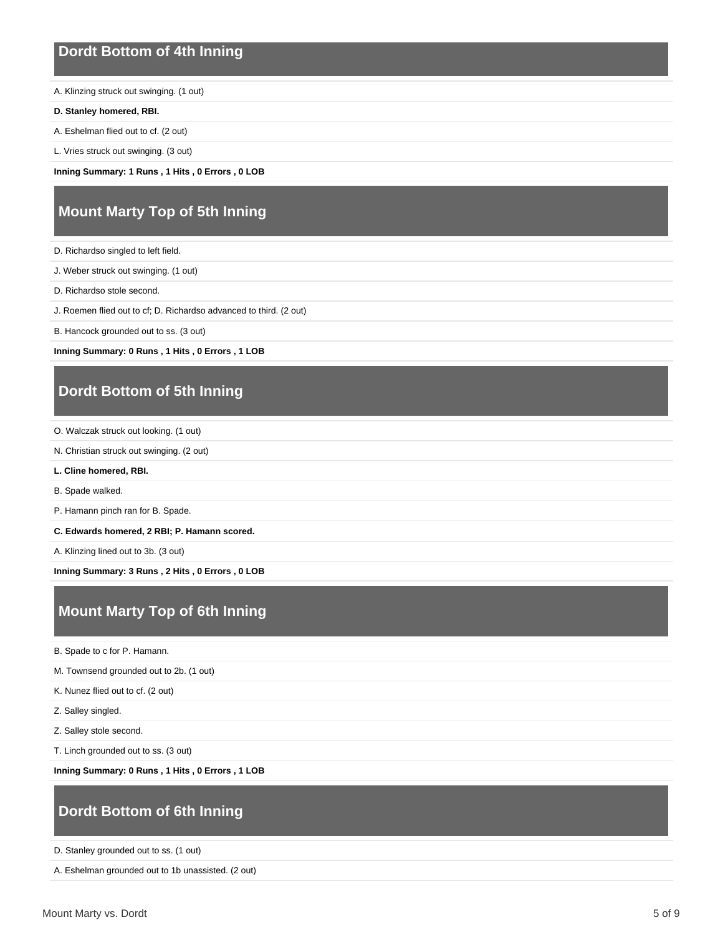#### **Dordt Bottom of 4th Inning**

A. Klinzing struck out swinging. (1 out)

- **D. Stanley homered, RBI.**
- A. Eshelman flied out to cf. (2 out)
- L. Vries struck out swinging. (3 out)

**Inning Summary: 1 Runs , 1 Hits , 0 Errors , 0 LOB**

# **Mount Marty Top of 5th Inning**

- D. Richardso singled to left field.
- J. Weber struck out swinging. (1 out)
- D. Richardso stole second.
- J. Roemen flied out to cf; D. Richardso advanced to third. (2 out)
- B. Hancock grounded out to ss. (3 out)

**Inning Summary: 0 Runs , 1 Hits , 0 Errors , 1 LOB**

#### **Dordt Bottom of 5th Inning**

- O. Walczak struck out looking. (1 out)
- N. Christian struck out swinging. (2 out)
- **L. Cline homered, RBI.**
- B. Spade walked.
- P. Hamann pinch ran for B. Spade.
- **C. Edwards homered, 2 RBI; P. Hamann scored.**
- A. Klinzing lined out to 3b. (3 out)

**Inning Summary: 3 Runs , 2 Hits , 0 Errors , 0 LOB**

# **Mount Marty Top of 6th Inning**

- B. Spade to c for P. Hamann.
- M. Townsend grounded out to 2b. (1 out)
- K. Nunez flied out to cf. (2 out)
- Z. Salley singled.
- Z. Salley stole second.
- T. Linch grounded out to ss. (3 out)

**Inning Summary: 0 Runs , 1 Hits , 0 Errors , 1 LOB**

#### **Dordt Bottom of 6th Inning**

D. Stanley grounded out to ss. (1 out)

```
A. Eshelman grounded out to 1b unassisted. (2 out)
```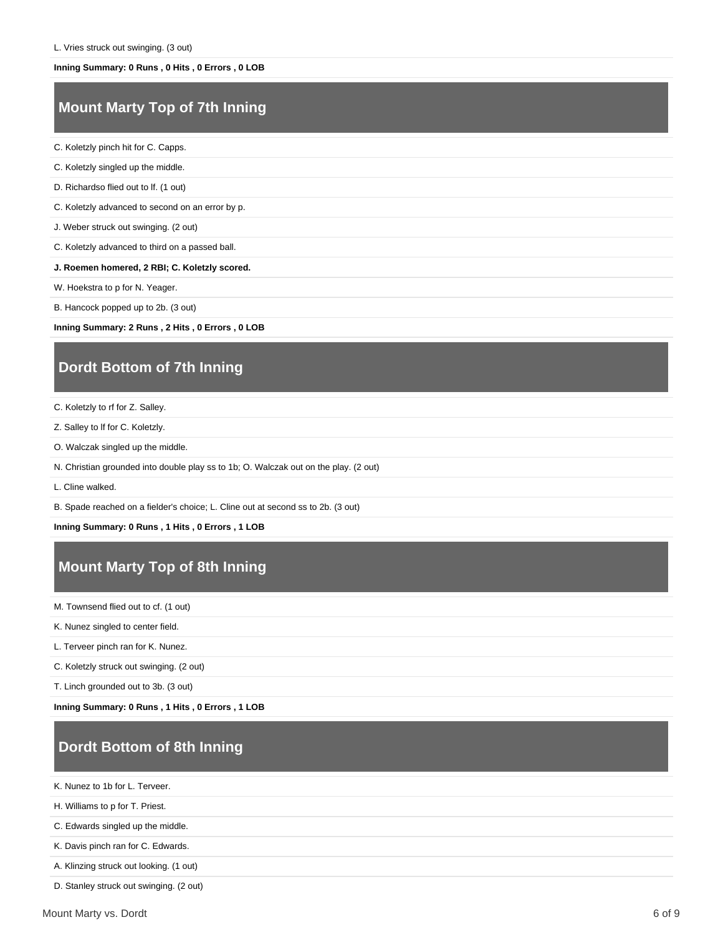#### **Inning Summary: 0 Runs , 0 Hits , 0 Errors , 0 LOB**

# **Mount Marty Top of 7th Inning**

C. Koletzly pinch hit for C. Capps.

- C. Koletzly singled up the middle.
- D. Richardso flied out to lf. (1 out)

C. Koletzly advanced to second on an error by p.

J. Weber struck out swinging. (2 out)

C. Koletzly advanced to third on a passed ball.

#### **J. Roemen homered, 2 RBI; C. Koletzly scored.**

W. Hoekstra to p for N. Yeager.

B. Hancock popped up to 2b. (3 out)

**Inning Summary: 2 Runs , 2 Hits , 0 Errors , 0 LOB**

## **Dordt Bottom of 7th Inning**

- C. Koletzly to rf for Z. Salley.
- Z. Salley to lf for C. Koletzly.
- O. Walczak singled up the middle.
- N. Christian grounded into double play ss to 1b; O. Walczak out on the play. (2 out)
- L. Cline walked.

B. Spade reached on a fielder's choice; L. Cline out at second ss to 2b. (3 out)

**Inning Summary: 0 Runs , 1 Hits , 0 Errors , 1 LOB**

# **Mount Marty Top of 8th Inning**

M. Townsend flied out to cf. (1 out)

K. Nunez singled to center field.

L. Terveer pinch ran for K. Nunez.

C. Koletzly struck out swinging. (2 out)

T. Linch grounded out to 3b. (3 out)

**Inning Summary: 0 Runs , 1 Hits , 0 Errors , 1 LOB**

# **Dordt Bottom of 8th Inning**

K. Nunez to 1b for L. Terveer.

H. Williams to p for T. Priest.

C. Edwards singled up the middle.

K. Davis pinch ran for C. Edwards.

A. Klinzing struck out looking. (1 out)

D. Stanley struck out swinging. (2 out)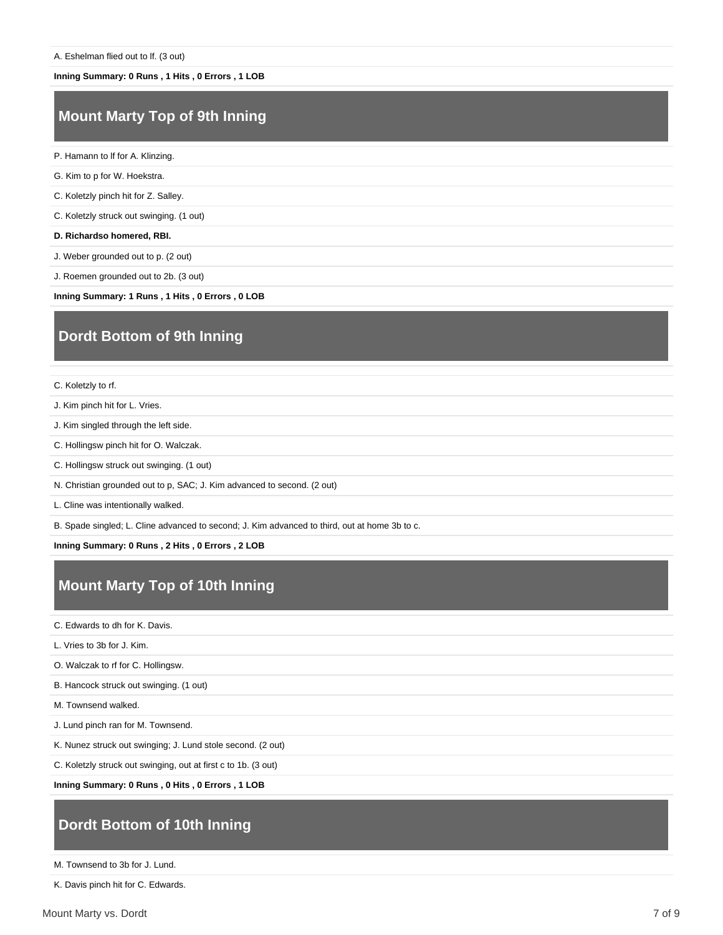#### **Inning Summary: 0 Runs , 1 Hits , 0 Errors , 1 LOB**

# **Mount Marty Top of 9th Inning**

- P. Hamann to lf for A. Klinzing.
- G. Kim to p for W. Hoekstra.
- C. Koletzly pinch hit for Z. Salley.

C. Koletzly struck out swinging. (1 out)

**D. Richardso homered, RBI.**

J. Weber grounded out to p. (2 out)

J. Roemen grounded out to 2b. (3 out)

**Inning Summary: 1 Runs , 1 Hits , 0 Errors , 0 LOB**

# **Dordt Bottom of 9th Inning**

C. Koletzly to rf.

J. Kim pinch hit for L. Vries.

- J. Kim singled through the left side.
- C. Hollingsw pinch hit for O. Walczak.
- C. Hollingsw struck out swinging. (1 out)
- N. Christian grounded out to p, SAC; J. Kim advanced to second. (2 out)

L. Cline was intentionally walked.

B. Spade singled; L. Cline advanced to second; J. Kim advanced to third, out at home 3b to c.

**Inning Summary: 0 Runs , 2 Hits , 0 Errors , 2 LOB**

#### **Mount Marty Top of 10th Inning**

C. Edwards to dh for K. Davis.

L. Vries to 3b for J. Kim.

O. Walczak to rf for C. Hollingsw.

B. Hancock struck out swinging. (1 out)

M. Townsend walked.

J. Lund pinch ran for M. Townsend.

K. Nunez struck out swinging; J. Lund stole second. (2 out)

C. Koletzly struck out swinging, out at first c to 1b. (3 out)

**Inning Summary: 0 Runs , 0 Hits , 0 Errors , 1 LOB**

# **Dordt Bottom of 10th Inning**

M. Townsend to 3b for J. Lund.

K. Davis pinch hit for C. Edwards.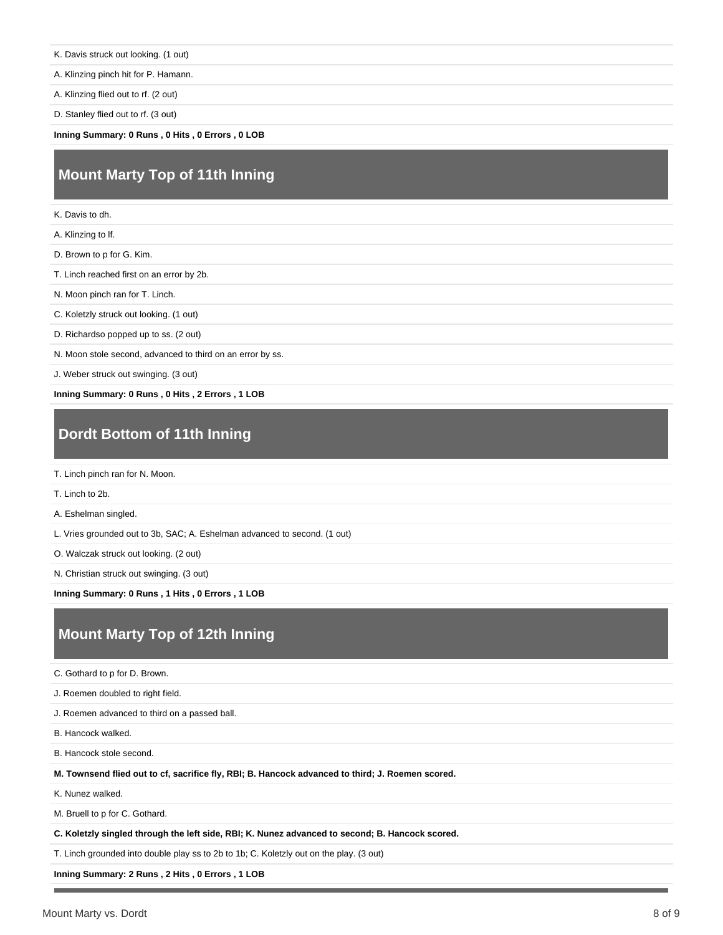K. Davis struck out looking. (1 out)

A. Klinzing pinch hit for P. Hamann.

A. Klinzing flied out to rf. (2 out)

D. Stanley flied out to rf. (3 out)

**Inning Summary: 0 Runs , 0 Hits , 0 Errors , 0 LOB**

# **Mount Marty Top of 11th Inning**

K. Davis to dh.

A. Klinzing to lf.

D. Brown to p for G. Kim.

T. Linch reached first on an error by 2b.

N. Moon pinch ran for T. Linch.

C. Koletzly struck out looking. (1 out)

D. Richardso popped up to ss. (2 out)

N. Moon stole second, advanced to third on an error by ss.

J. Weber struck out swinging. (3 out)

**Inning Summary: 0 Runs , 0 Hits , 2 Errors , 1 LOB**

#### **Dordt Bottom of 11th Inning**

T. Linch pinch ran for N. Moon.

T. Linch to 2b.

A. Eshelman singled.

L. Vries grounded out to 3b, SAC; A. Eshelman advanced to second. (1 out)

O. Walczak struck out looking. (2 out)

N. Christian struck out swinging. (3 out)

**Inning Summary: 0 Runs , 1 Hits , 0 Errors , 1 LOB**

# **Mount Marty Top of 12th Inning**

C. Gothard to p for D. Brown.

J. Roemen doubled to right field.

J. Roemen advanced to third on a passed ball.

B. Hancock walked.

B. Hancock stole second.

**M. Townsend flied out to cf, sacrifice fly, RBI; B. Hancock advanced to third; J. Roemen scored.**

K. Nunez walked.

M. Bruell to p for C. Gothard.

**C. Koletzly singled through the left side, RBI; K. Nunez advanced to second; B. Hancock scored.**

T. Linch grounded into double play ss to 2b to 1b; C. Koletzly out on the play. (3 out)

**Inning Summary: 2 Runs , 2 Hits , 0 Errors , 1 LOB**